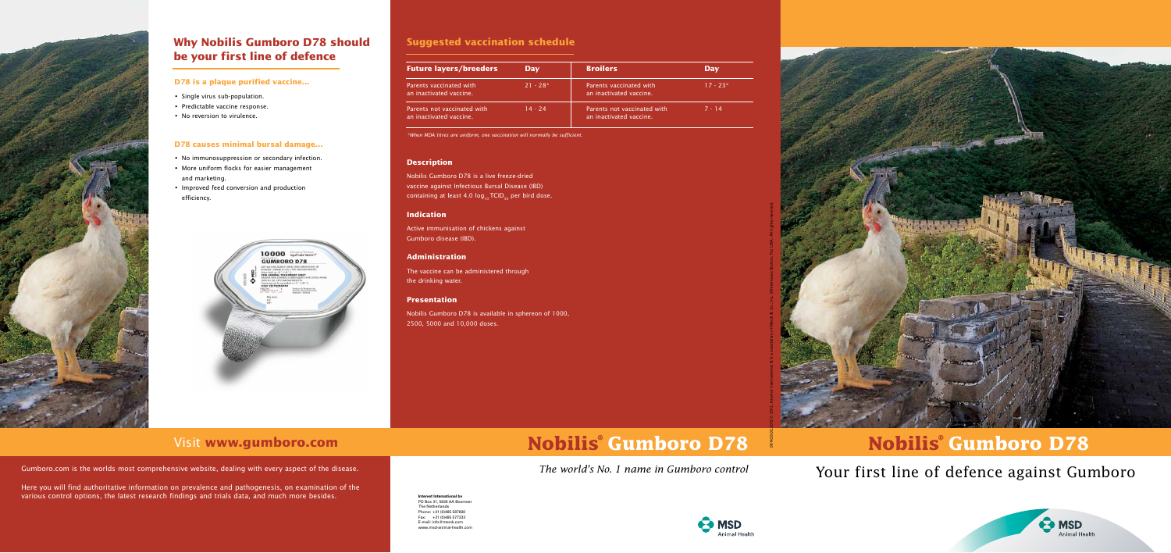# Your first line of defence against Gumboro

### **D78 is a plaque purified vaccine...**

- Single virus sub-population.
- Predictable vaccine response.
- No reversion to virulence.

## **D78 causes minimal bursal damage...**

- No immunosuppression or secondary infection.
- More uniform flocks for easier management and marketing.
- Improved feed conversion and production efficiency.





## **Why Nobilis Gumboro D78 should be your first line of defence**

| <b>Future layers/breeders</b>                          | <b>Day</b> | <b>Broilers</b>                                        | <b>Day</b> |
|--------------------------------------------------------|------------|--------------------------------------------------------|------------|
| Parents vaccinated with<br>an inactivated vaccine.     | $21 - 28*$ | Parents vaccinated with<br>an inactivated vaccine.     | $17 - 23*$ |
| Parents not vaccinated with<br>an inactivated vaccine. | 14 - 24    | Parents not vaccinated with<br>an inactivated vaccine. | $7 - 14$   |

## **Suggested vaccination schedule**





 $\bigodot$  MSD **Animal Health** 

## Visit **www.gumboro.com**

Gumboro.com is the worlds most comprehensive website, dealing with every aspect of the disease.

Here you will find authoritative information on prevalence and pathogenesis, on examination of the various control options, the latest research findings and trials data, and much more besides.

\*When MDA titres are uniform, one vaccination will normally be sufficient.

### **Description**

Nobilis Gumboro D78 is a live freeze-dried vaccine against Infectious Bursal Disease (IBD) containing at least 4.0  $log_{10}$  TCID<sub>50</sub> per bird dose.



### **Indication**

Active immunisation of chickens against Gumboro disease (IBD).

## **Administration**

The vaccine can be administered through the drinking water.

### **Presentation**

Nobilis Gumboro D78 is available in sphereon of 1000, 2500, 5000 and 10,000 doses.

**Intervet International bv** PO Box 31, 5830 AA Boxmeer The Netherlands Phone: +31 (0)485 587600 Fax: +31 (0)485 577333 E-mail: info@merck.com www.msd-animal-health.com